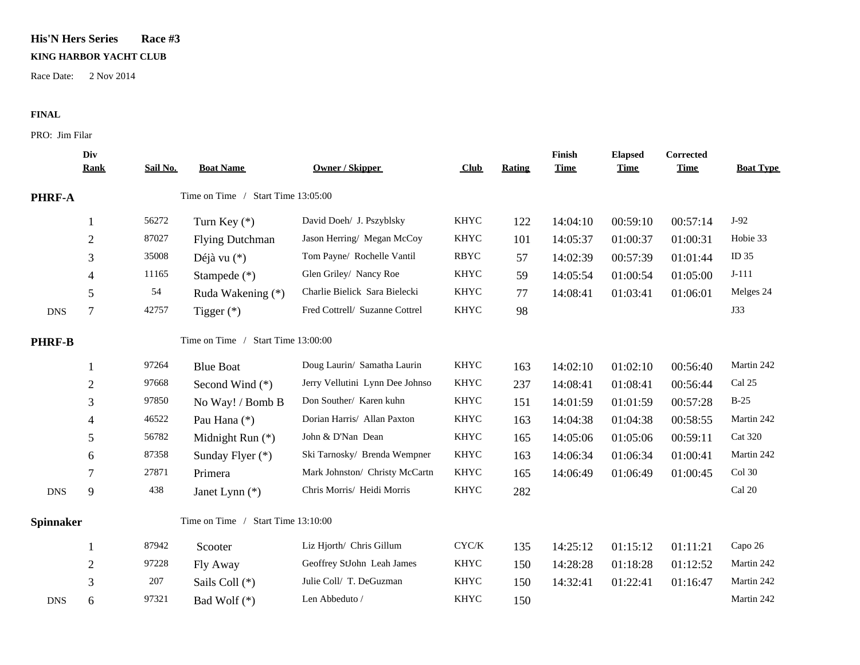## **His'N Hers Series Race #3**

## **KING HARBOR YACHT CLUB**

Race Date: 2 Nov 2014

## **FINAL**

PRO: Jim Filar

|                  | Div<br><b>Rank</b>                 | Sail No.                           | <b>Boat Name</b>       | <b>Owner / Skipper</b>          | Club          | Rating | Finish<br><b>Time</b> | <b>Elapsed</b><br><b>Time</b> | Corrected<br><b>Time</b> | <b>Boat Type</b> |
|------------------|------------------------------------|------------------------------------|------------------------|---------------------------------|---------------|--------|-----------------------|-------------------------------|--------------------------|------------------|
| PHRF-A           |                                    | Time on Time / Start Time 13:05:00 |                        |                                 |               |        |                       |                               |                          |                  |
|                  | 1                                  | 56272                              | Turn Key $(*)$         | David Doeh/ J. Pszyblsky        | KHYC          | 122    | 14:04:10              | 00:59:10                      | 00:57:14                 | $J-92$           |
|                  | $\overline{c}$                     | 87027                              | <b>Flying Dutchman</b> | Jason Herring/ Megan McCoy      | <b>KHYC</b>   | 101    | 14:05:37              | 01:00:37                      | 01:00:31                 | Hobie 33         |
|                  | 3                                  | 35008                              | Déjà vu $(*)$          | Tom Payne/ Rochelle Vantil      | <b>RBYC</b>   | 57     | 14:02:39              | 00:57:39                      | 01:01:44                 | ID 35            |
|                  | 4                                  | 11165                              | Stampede (*)           | Glen Griley/ Nancy Roe          | <b>KHYC</b>   | 59     | 14:05:54              | 01:00:54                      | 01:05:00                 | $J-111$          |
|                  | 5                                  | 54                                 | Ruda Wakening (*)      | Charlie Bielick Sara Bielecki   | <b>KHYC</b>   | 77     | 14:08:41              | 01:03:41                      | 01:06:01                 | Melges 24        |
| <b>DNS</b>       | $\tau$                             | 42757                              | Tigger $(*)$           | Fred Cottrell/ Suzanne Cottrel  | <b>KHYC</b>   | 98     |                       |                               |                          | J33              |
| <b>PHRF-B</b>    |                                    | Time on Time / Start Time 13:00:00 |                        |                                 |               |        |                       |                               |                          |                  |
|                  |                                    | 97264                              | <b>Blue Boat</b>       | Doug Laurin/ Samatha Laurin     | <b>KHYC</b>   | 163    | 14:02:10              | 01:02:10                      | 00:56:40                 | Martin 242       |
|                  | $\overline{2}$                     | 97668                              | Second Wind (*)        | Jerry Vellutini Lynn Dee Johnso | <b>KHYC</b>   | 237    | 14:08:41              | 01:08:41                      | 00:56:44                 | Cal 25           |
|                  | 3                                  | 97850                              | No Way! / Bomb B       | Don Souther/ Karen kuhn         | <b>KHYC</b>   | 151    | 14:01:59              | 01:01:59                      | 00:57:28                 | $B-25$           |
|                  | 4                                  | 46522                              | Pau Hana (*)           | Dorian Harris/ Allan Paxton     | <b>KHYC</b>   | 163    | 14:04:38              | 01:04:38                      | 00:58:55                 | Martin 242       |
|                  | 5                                  | 56782                              | Midnight Run (*)       | John & D'Nan Dean               | <b>KHYC</b>   | 165    | 14:05:06              | 01:05:06                      | 00:59:11                 | <b>Cat 320</b>   |
|                  | 6                                  | 87358                              | Sunday Flyer (*)       | Ski Tarnosky/ Brenda Wempner    | KHYC          | 163    | 14:06:34              | 01:06:34                      | 01:00:41                 | Martin 242       |
|                  | 7                                  | 27871                              | Primera                | Mark Johnston/ Christy McCartn  | KHYC          | 165    | 14:06:49              | 01:06:49                      | 01:00:45                 | Col 30           |
| <b>DNS</b>       | 9                                  | 438                                | Janet Lynn (*)         | Chris Morris/ Heidi Morris      | KHYC          | 282    |                       |                               |                          | Cal 20           |
| <b>Spinnaker</b> | Time on Time / Start Time 13:10:00 |                                    |                        |                                 |               |        |                       |                               |                          |                  |
|                  |                                    | 87942                              | Scooter                | Liz Hjorth/ Chris Gillum        | ${\rm CYC/K}$ | 135    | 14:25:12              | 01:15:12                      | 01:11:21                 | Capo 26          |
|                  | $\overline{2}$                     | 97228                              | Fly Away               | Geoffrey StJohn Leah James      | <b>KHYC</b>   | 150    | 14:28:28              | 01:18:28                      | 01:12:52                 | Martin 242       |
|                  | 3                                  | 207                                | Sails Coll (*)         | Julie Coll/ T. DeGuzman         | <b>KHYC</b>   | 150    | 14:32:41              | 01:22:41                      | 01:16:47                 | Martin 242       |
| <b>DNS</b>       | 6                                  | 97321                              | Bad Wolf (*)           | Len Abbeduto /                  | <b>KHYC</b>   | 150    |                       |                               |                          | Martin 242       |